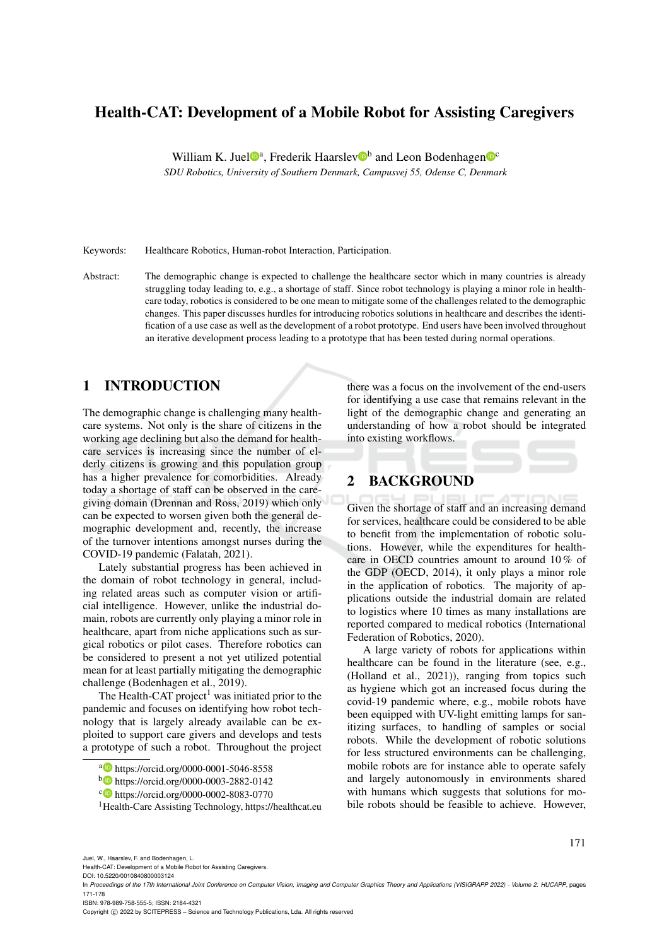# Health-CAT: Development of a Mobile Robot for Assisting Caregivers

William K. Juel<sup>oa</sup>, Frederik Haarslev<sup>ob</sup> and Leon Bodenhagen<sup>oc</sup>

*SDU Robotics, University of Southern Denmark, Campusvej 55, Odense C, Denmark*

Keywords: Healthcare Robotics, Human-robot Interaction, Participation.

Abstract: The demographic change is expected to challenge the healthcare sector which in many countries is already struggling today leading to, e.g., a shortage of staff. Since robot technology is playing a minor role in healthcare today, robotics is considered to be one mean to mitigate some of the challenges related to the demographic changes. This paper discusses hurdles for introducing robotics solutions in healthcare and describes the identification of a use case as well as the development of a robot prototype. End users have been involved throughout an iterative development process leading to a prototype that has been tested during normal operations.

# 1 INTRODUCTION

The demographic change is challenging many healthcare systems. Not only is the share of citizens in the working age declining but also the demand for healthcare services is increasing since the number of elderly citizens is growing and this population group has a higher prevalence for comorbidities. Already today a shortage of staff can be observed in the caregiving domain (Drennan and Ross, 2019) which only can be expected to worsen given both the general demographic development and, recently, the increase of the turnover intentions amongst nurses during the COVID-19 pandemic (Falatah, 2021).

Lately substantial progress has been achieved in the domain of robot technology in general, including related areas such as computer vision or artificial intelligence. However, unlike the industrial domain, robots are currently only playing a minor role in healthcare, apart from niche applications such as surgical robotics or pilot cases. Therefore robotics can be considered to present a not yet utilized potential mean for at least partially mitigating the demographic challenge (Bodenhagen et al., 2019).

The Health-CAT project<sup>1</sup> was initiated prior to the pandemic and focuses on identifying how robot technology that is largely already available can be exploited to support care givers and develops and tests a prototype of such a robot. Throughout the project

there was a focus on the involvement of the end-users for identifying a use case that remains relevant in the light of the demographic change and generating an understanding of how a robot should be integrated into existing workflows.

# 2 BACKGROUND

Given the shortage of staff and an increasing demand for services, healthcare could be considered to be able to benefit from the implementation of robotic solutions. However, while the expenditures for healthcare in OECD countries amount to around 10 % of the GDP (OECD, 2014), it only plays a minor role in the application of robotics. The majority of applications outside the industrial domain are related to logistics where 10 times as many installations are reported compared to medical robotics (International Federation of Robotics, 2020).

A large variety of robots for applications within healthcare can be found in the literature (see, e.g., (Holland et al., 2021)), ranging from topics such as hygiene which got an increased focus during the covid-19 pandemic where, e.g., mobile robots have been equipped with UV-light emitting lamps for sanitizing surfaces, to handling of samples or social robots. While the development of robotic solutions for less structured environments can be challenging, mobile robots are for instance able to operate safely and largely autonomously in environments shared with humans which suggests that solutions for mobile robots should be feasible to achieve. However,

171

ISBN: 978-989-758-555-5; ISSN: 2184-4321

Copyright © 2022 by SCITEPRESS - Science and Technology Publications, Lda. All rights reserved

<sup>a</sup> https://orcid.org/0000-0001-5046-8558

<sup>b</sup> https://orcid.org/0000-0003-2882-0142

<sup>c</sup> https://orcid.org/0000-0002-8083-0770

<sup>1</sup>Health-Care Assisting Technology, https://healthcat.eu

Juel, W., Haarslev, F. and Bodenhagen, L.

Health-CAT: Development of a Mobile Robot for Assisting Caregivers.

DOI: 10.5220/0010840800003124

In *Proceedings of the 17th International Joint Conference on Computer Vision, Imaging and Computer Graphics Theory and Applications (VISIGRAPP 2022) - Volume 2: HUCAPP*, pages 171-178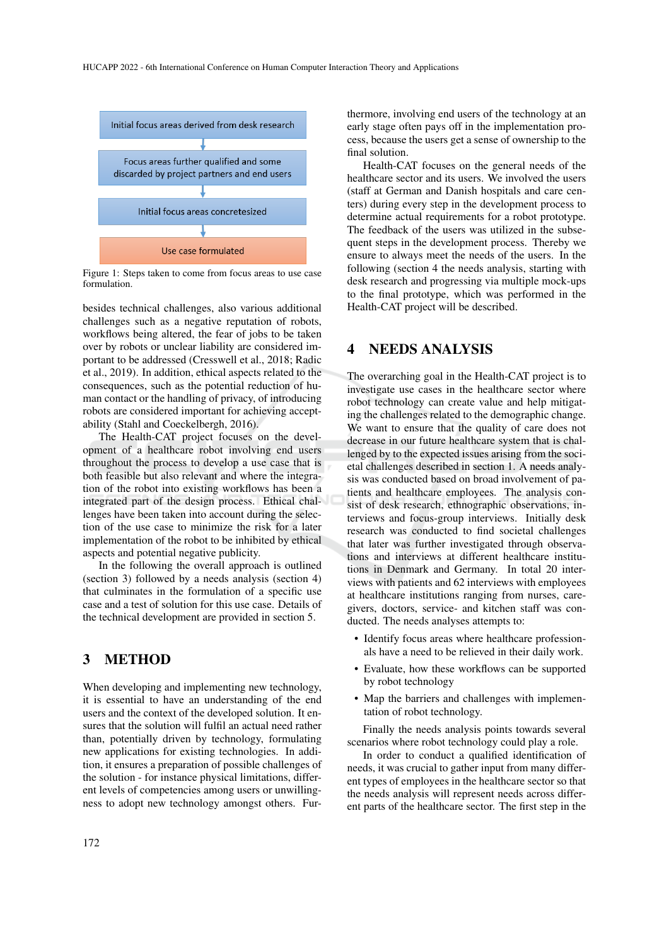

Figure 1: Steps taken to come from focus areas to use case formulation.

besides technical challenges, also various additional challenges such as a negative reputation of robots, workflows being altered, the fear of jobs to be taken over by robots or unclear liability are considered important to be addressed (Cresswell et al., 2018; Radic et al., 2019). In addition, ethical aspects related to the consequences, such as the potential reduction of human contact or the handling of privacy, of introducing robots are considered important for achieving acceptability (Stahl and Coeckelbergh, 2016).

The Health-CAT project focuses on the development of a healthcare robot involving end users throughout the process to develop a use case that is both feasible but also relevant and where the integration of the robot into existing workflows has been a integrated part of the design process. Ethical challenges have been taken into account during the selection of the use case to minimize the risk for a later implementation of the robot to be inhibited by ethical aspects and potential negative publicity.

In the following the overall approach is outlined (section 3) followed by a needs analysis (section 4) that culminates in the formulation of a specific use case and a test of solution for this use case. Details of the technical development are provided in section 5.

# 3 METHOD

When developing and implementing new technology, it is essential to have an understanding of the end users and the context of the developed solution. It ensures that the solution will fulfil an actual need rather than, potentially driven by technology, formulating new applications for existing technologies. In addition, it ensures a preparation of possible challenges of the solution - for instance physical limitations, different levels of competencies among users or unwillingness to adopt new technology amongst others. Fur-

thermore, involving end users of the technology at an early stage often pays off in the implementation process, because the users get a sense of ownership to the final solution.

Health-CAT focuses on the general needs of the healthcare sector and its users. We involved the users (staff at German and Danish hospitals and care centers) during every step in the development process to determine actual requirements for a robot prototype. The feedback of the users was utilized in the subsequent steps in the development process. Thereby we ensure to always meet the needs of the users. In the following (section 4 the needs analysis, starting with desk research and progressing via multiple mock-ups to the final prototype, which was performed in the Health-CAT project will be described.

# 4 NEEDS ANALYSIS

The overarching goal in the Health-CAT project is to investigate use cases in the healthcare sector where robot technology can create value and help mitigating the challenges related to the demographic change. We want to ensure that the quality of care does not decrease in our future healthcare system that is challenged by to the expected issues arising from the societal challenges described in section 1. A needs analysis was conducted based on broad involvement of patients and healthcare employees. The analysis consist of desk research, ethnographic observations, interviews and focus-group interviews. Initially desk research was conducted to find societal challenges that later was further investigated through observations and interviews at different healthcare institutions in Denmark and Germany. In total 20 interviews with patients and 62 interviews with employees at healthcare institutions ranging from nurses, caregivers, doctors, service- and kitchen staff was conducted. The needs analyses attempts to:

- Identify focus areas where healthcare professionals have a need to be relieved in their daily work.
- Evaluate, how these workflows can be supported by robot technology
- Map the barriers and challenges with implementation of robot technology.

Finally the needs analysis points towards several scenarios where robot technology could play a role.

In order to conduct a qualified identification of needs, it was crucial to gather input from many different types of employees in the healthcare sector so that the needs analysis will represent needs across different parts of the healthcare sector. The first step in the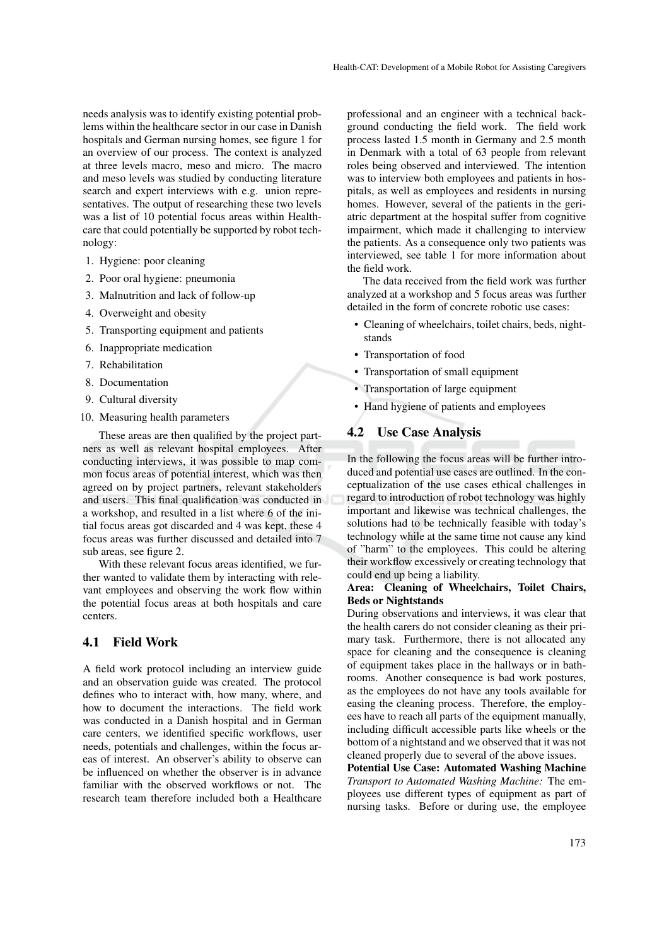needs analysis was to identify existing potential problems within the healthcare sector in our case in Danish hospitals and German nursing homes, see figure 1 for an overview of our process. The context is analyzed at three levels macro, meso and micro. The macro and meso levels was studied by conducting literature search and expert interviews with e.g. union representatives. The output of researching these two levels was a list of 10 potential focus areas within Healthcare that could potentially be supported by robot technology:

- 1. Hygiene: poor cleaning
- 2. Poor oral hygiene: pneumonia
- 3. Malnutrition and lack of follow-up
- 4. Overweight and obesity
- 5. Transporting equipment and patients
- 6. Inappropriate medication
- 7. Rehabilitation
- 8. Documentation
- 9. Cultural diversity
- 10. Measuring health parameters

These areas are then qualified by the project partners as well as relevant hospital employees. After conducting interviews, it was possible to map common focus areas of potential interest, which was then agreed on by project partners, relevant stakeholders and users. This final qualification was conducted in a workshop, and resulted in a list where 6 of the initial focus areas got discarded and 4 was kept, these 4 focus areas was further discussed and detailed into 7 sub areas, see figure 2.

With these relevant focus areas identified, we further wanted to validate them by interacting with relevant employees and observing the work flow within the potential focus areas at both hospitals and care centers.

# 4.1 Field Work

A field work protocol including an interview guide and an observation guide was created. The protocol defines who to interact with, how many, where, and how to document the interactions. The field work was conducted in a Danish hospital and in German care centers, we identified specific workflows, user needs, potentials and challenges, within the focus areas of interest. An observer's ability to observe can be influenced on whether the observer is in advance familiar with the observed workflows or not. The research team therefore included both a Healthcare

professional and an engineer with a technical background conducting the field work. The field work process lasted 1.5 month in Germany and 2.5 month in Denmark with a total of 63 people from relevant roles being observed and interviewed. The intention was to interview both employees and patients in hospitals, as well as employees and residents in nursing homes. However, several of the patients in the geriatric department at the hospital suffer from cognitive impairment, which made it challenging to interview the patients. As a consequence only two patients was interviewed, see table 1 for more information about the field work.

The data received from the field work was further analyzed at a workshop and 5 focus areas was further detailed in the form of concrete robotic use cases:

- Cleaning of wheelchairs, toilet chairs, beds, nightstands
- Transportation of food
- Transportation of small equipment
- Transportation of large equipment
- Hand hygiene of patients and employees

## 4.2 Use Case Analysis

In the following the focus areas will be further introduced and potential use cases are outlined. In the conceptualization of the use cases ethical challenges in regard to introduction of robot technology was highly important and likewise was technical challenges, the solutions had to be technically feasible with today's technology while at the same time not cause any kind of "harm" to the employees. This could be altering their workflow excessively or creating technology that could end up being a liability.

# Area: Cleaning of Wheelchairs, Toilet Chairs, Beds or Nightstands

During observations and interviews, it was clear that the health carers do not consider cleaning as their primary task. Furthermore, there is not allocated any space for cleaning and the consequence is cleaning of equipment takes place in the hallways or in bathrooms. Another consequence is bad work postures, as the employees do not have any tools available for easing the cleaning process. Therefore, the employees have to reach all parts of the equipment manually, including difficult accessible parts like wheels or the bottom of a nightstand and we observed that it was not cleaned properly due to several of the above issues.

Potential Use Case: Automated Washing Machine *Transport to Automated Washing Machine:* The employees use different types of equipment as part of nursing tasks. Before or during use, the employee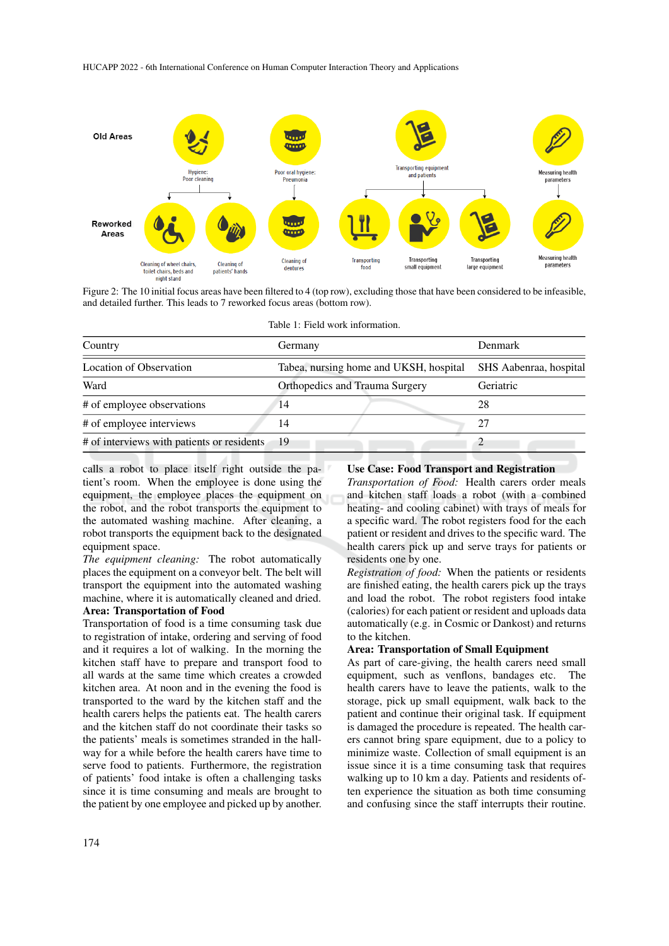

Figure 2: The 10 initial focus areas have been filtered to 4 (top row), excluding those that have been considered to be infeasible, and detailed further. This leads to 7 reworked focus areas (bottom row).

Table 1: Field work information.

| Country                                    | Germany                                | Denmark                |
|--------------------------------------------|----------------------------------------|------------------------|
| <b>Location of Observation</b>             | Tabea, nursing home and UKSH, hospital | SHS Aabenraa, hospital |
| Ward                                       | Orthopedics and Trauma Surgery         | Geriatric              |
| # of employee observations                 | 14                                     | 28                     |
| # of employee interviews                   | 14                                     | 27                     |
| # of interviews with patients or residents | - 19                                   |                        |

calls a robot to place itself right outside the patient's room. When the employee is done using the equipment, the employee places the equipment on the robot, and the robot transports the equipment to the automated washing machine. After cleaning, a robot transports the equipment back to the designated equipment space.

*The equipment cleaning:* The robot automatically places the equipment on a conveyor belt. The belt will transport the equipment into the automated washing machine, where it is automatically cleaned and dried. Area: Transportation of Food

Transportation of food is a time consuming task due to registration of intake, ordering and serving of food and it requires a lot of walking. In the morning the kitchen staff have to prepare and transport food to all wards at the same time which creates a crowded kitchen area. At noon and in the evening the food is transported to the ward by the kitchen staff and the health carers helps the patients eat. The health carers and the kitchen staff do not coordinate their tasks so the patients' meals is sometimes stranded in the hallway for a while before the health carers have time to serve food to patients. Furthermore, the registration of patients' food intake is often a challenging tasks since it is time consuming and meals are brought to the patient by one employee and picked up by another.

#### Use Case: Food Transport and Registration

*Transportation of Food:* Health carers order meals and kitchen staff loads a robot (with a combined heating- and cooling cabinet) with trays of meals for a specific ward. The robot registers food for the each patient or resident and drives to the specific ward. The health carers pick up and serve trays for patients or residents one by one.

*Registration of food:* When the patients or residents are finished eating, the health carers pick up the trays and load the robot. The robot registers food intake (calories) for each patient or resident and uploads data automatically (e.g. in Cosmic or Dankost) and returns to the kitchen.

#### Area: Transportation of Small Equipment

As part of care-giving, the health carers need small equipment, such as venflons, bandages etc. The health carers have to leave the patients, walk to the storage, pick up small equipment, walk back to the patient and continue their original task. If equipment is damaged the procedure is repeated. The health carers cannot bring spare equipment, due to a policy to minimize waste. Collection of small equipment is an issue since it is a time consuming task that requires walking up to 10 km a day. Patients and residents often experience the situation as both time consuming and confusing since the staff interrupts their routine.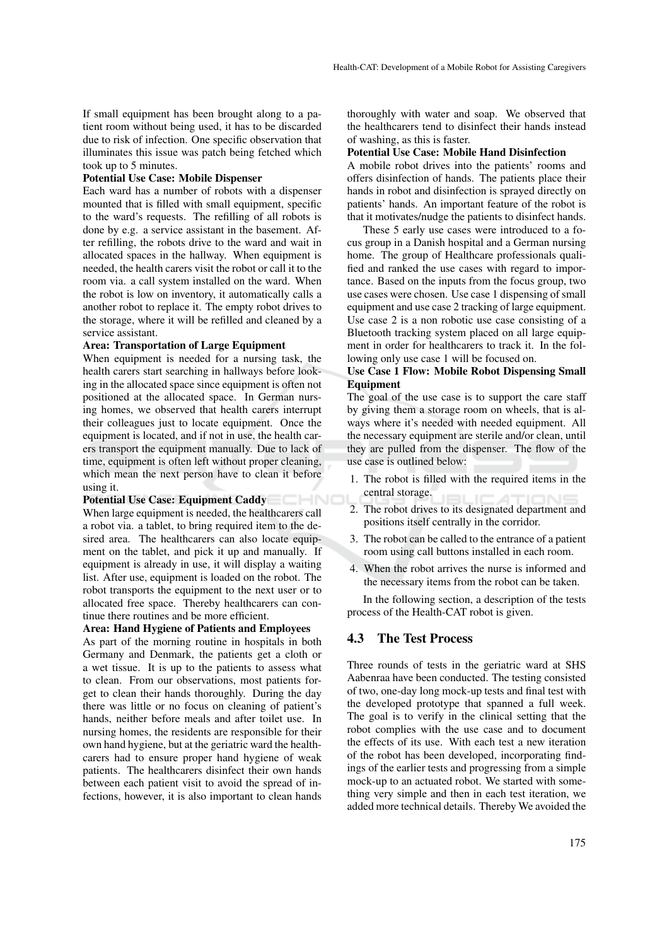If small equipment has been brought along to a patient room without being used, it has to be discarded due to risk of infection. One specific observation that illuminates this issue was patch being fetched which took up to 5 minutes.

#### Potential Use Case: Mobile Dispenser

Each ward has a number of robots with a dispenser mounted that is filled with small equipment, specific to the ward's requests. The refilling of all robots is done by e.g. a service assistant in the basement. After refilling, the robots drive to the ward and wait in allocated spaces in the hallway. When equipment is needed, the health carers visit the robot or call it to the room via. a call system installed on the ward. When the robot is low on inventory, it automatically calls a another robot to replace it. The empty robot drives to the storage, where it will be refilled and cleaned by a service assistant.

### Area: Transportation of Large Equipment

When equipment is needed for a nursing task, the health carers start searching in hallways before looking in the allocated space since equipment is often not positioned at the allocated space. In German nursing homes, we observed that health carers interrupt their colleagues just to locate equipment. Once the equipment is located, and if not in use, the health carers transport the equipment manually. Due to lack of time, equipment is often left without proper cleaning, which mean the next person have to clean it before using it.

# Potential Use Case: Equipment Caddy

When large equipment is needed, the healthcarers call a robot via. a tablet, to bring required item to the desired area. The healthcarers can also locate equipment on the tablet, and pick it up and manually. If equipment is already in use, it will display a waiting list. After use, equipment is loaded on the robot. The robot transports the equipment to the next user or to allocated free space. Thereby healthcarers can continue there routines and be more efficient.

## Area: Hand Hygiene of Patients and Employees

As part of the morning routine in hospitals in both Germany and Denmark, the patients get a cloth or a wet tissue. It is up to the patients to assess what to clean. From our observations, most patients forget to clean their hands thoroughly. During the day there was little or no focus on cleaning of patient's hands, neither before meals and after toilet use. In nursing homes, the residents are responsible for their own hand hygiene, but at the geriatric ward the healthcarers had to ensure proper hand hygiene of weak patients. The healthcarers disinfect their own hands between each patient visit to avoid the spread of infections, however, it is also important to clean hands thoroughly with water and soap. We observed that the healthcarers tend to disinfect their hands instead of washing, as this is faster.

#### Potential Use Case: Mobile Hand Disinfection

A mobile robot drives into the patients' rooms and offers disinfection of hands. The patients place their hands in robot and disinfection is sprayed directly on patients' hands. An important feature of the robot is that it motivates/nudge the patients to disinfect hands.

These 5 early use cases were introduced to a focus group in a Danish hospital and a German nursing home. The group of Healthcare professionals qualified and ranked the use cases with regard to importance. Based on the inputs from the focus group, two use cases were chosen. Use case 1 dispensing of small equipment and use case 2 tracking of large equipment. Use case 2 is a non robotic use case consisting of a Bluetooth tracking system placed on all large equipment in order for healthcarers to track it. In the following only use case 1 will be focused on.

# Use Case 1 Flow: Mobile Robot Dispensing Small Equipment

The goal of the use case is to support the care staff by giving them a storage room on wheels, that is always where it's needed with needed equipment. All the necessary equipment are sterile and/or clean, until they are pulled from the dispenser. The flow of the use case is outlined below:

- 1. The robot is filled with the required items in the central storage.
- 2. The robot drives to its designated department and positions itself centrally in the corridor.
- 3. The robot can be called to the entrance of a patient room using call buttons installed in each room.
- 4. When the robot arrives the nurse is informed and the necessary items from the robot can be taken.

In the following section, a description of the tests process of the Health-CAT robot is given.

# 4.3 The Test Process

Three rounds of tests in the geriatric ward at SHS Aabenraa have been conducted. The testing consisted of two, one-day long mock-up tests and final test with the developed prototype that spanned a full week. The goal is to verify in the clinical setting that the robot complies with the use case and to document the effects of its use. With each test a new iteration of the robot has been developed, incorporating findings of the earlier tests and progressing from a simple mock-up to an actuated robot. We started with something very simple and then in each test iteration, we added more technical details. Thereby We avoided the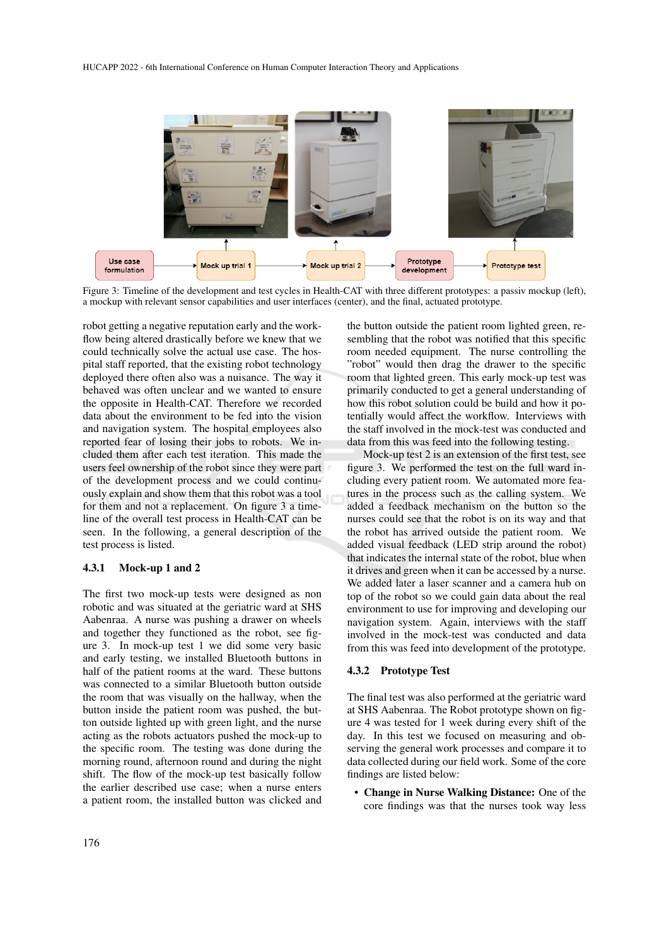

Figure 3: Timeline of the development and test cycles in Health-CAT with three different prototypes: a passiv mockup (left), a mockup with relevant sensor capabilities and user interfaces (center), and the final, actuated prototype.

robot getting a negative reputation early and the workflow being altered drastically before we knew that we could technically solve the actual use case. The hospital staff reported, that the existing robot technology deployed there often also was a nuisance. The way it behaved was often unclear and we wanted to ensure the opposite in Health-CAT. Therefore we recorded data about the environment to be fed into the vision and navigation system. The hospital employees also reported fear of losing their jobs to robots. We included them after each test iteration. This made the users feel ownership of the robot since they were part of the development process and we could continuously explain and show them that this robot was a tool for them and not a replacement. On figure 3 a timeline of the overall test process in Health-CAT can be seen. In the following, a general description of the test process is listed.

## 4.3.1 Mock-up 1 and 2

The first two mock-up tests were designed as non robotic and was situated at the geriatric ward at SHS Aabenraa. A nurse was pushing a drawer on wheels and together they functioned as the robot, see figure 3. In mock-up test 1 we did some very basic and early testing, we installed Bluetooth buttons in half of the patient rooms at the ward. These buttons was connected to a similar Bluetooth button outside the room that was visually on the hallway, when the button inside the patient room was pushed, the button outside lighted up with green light, and the nurse acting as the robots actuators pushed the mock-up to the specific room. The testing was done during the morning round, afternoon round and during the night shift. The flow of the mock-up test basically follow the earlier described use case; when a nurse enters a patient room, the installed button was clicked and the button outside the patient room lighted green, resembling that the robot was notified that this specific room needed equipment. The nurse controlling the "robot" would then drag the drawer to the specific room that lighted green. This early mock-up test was primarily conducted to get a general understanding of how this robot solution could be build and how it potentially would affect the workflow. Interviews with the staff involved in the mock-test was conducted and data from this was feed into the following testing.

Mock-up test 2 is an extension of the first test, see figure 3. We performed the test on the full ward including every patient room. We automated more features in the process such as the calling system. We added a feedback mechanism on the button so the nurses could see that the robot is on its way and that the robot has arrived outside the patient room. We added visual feedback (LED strip around the robot) that indicates the internal state of the robot, blue when it drives and green when it can be accessed by a nurse. We added later a laser scanner and a camera hub on top of the robot so we could gain data about the real environment to use for improving and developing our navigation system. Again, interviews with the staff involved in the mock-test was conducted and data from this was feed into development of the prototype.

## 4.3.2 Prototype Test

The final test was also performed at the geriatric ward at SHS Aabenraa. The Robot prototype shown on figure 4 was tested for 1 week during every shift of the day. In this test we focused on measuring and observing the general work processes and compare it to data collected during our field work. Some of the core findings are listed below:

• Change in Nurse Walking Distance: One of the core findings was that the nurses took way less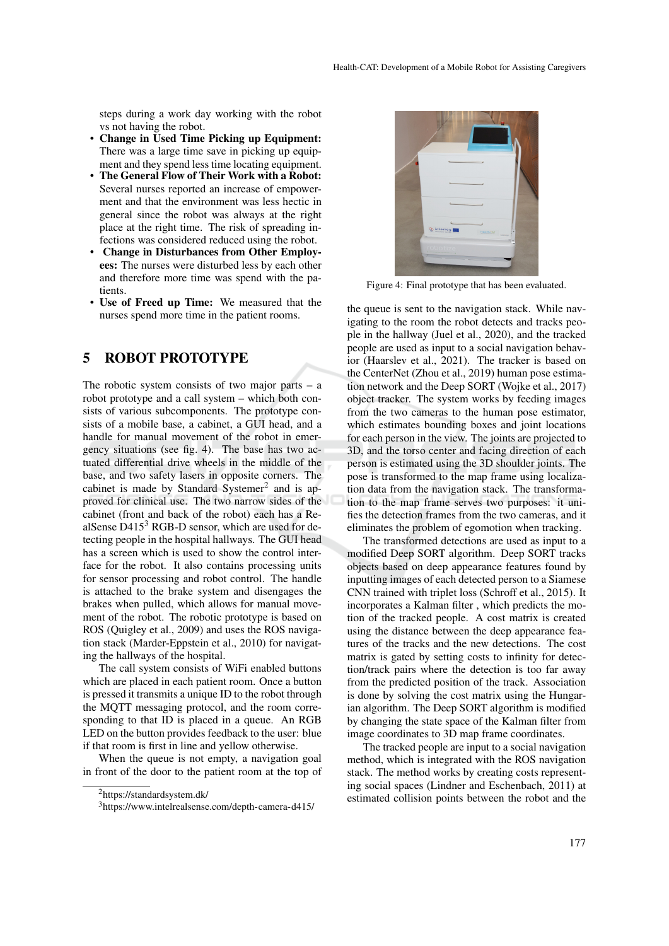steps during a work day working with the robot vs not having the robot.

- Change in Used Time Picking up Equipment: There was a large time save in picking up equipment and they spend less time locating equipment.
- The General Flow of Their Work with a Robot: Several nurses reported an increase of empowerment and that the environment was less hectic in general since the robot was always at the right place at the right time. The risk of spreading infections was considered reduced using the robot.
- Change in Disturbances from Other Employees: The nurses were disturbed less by each other and therefore more time was spend with the patients.
- Use of Freed up Time: We measured that the nurses spend more time in the patient rooms.

# 5 ROBOT PROTOTYPE

The robotic system consists of two major parts  $-$  a robot prototype and a call system – which both consists of various subcomponents. The prototype consists of a mobile base, a cabinet, a GUI head, and a handle for manual movement of the robot in emergency situations (see fig. 4). The base has two actuated differential drive wheels in the middle of the base, and two safety lasers in opposite corners. The cabinet is made by Standard Systemer<sup>2</sup> and is approved for clinical use. The two narrow sides of the cabinet (front and back of the robot) each has a RealSense  $D415<sup>3</sup>$  RGB-D sensor, which are used for detecting people in the hospital hallways. The GUI head has a screen which is used to show the control interface for the robot. It also contains processing units for sensor processing and robot control. The handle is attached to the brake system and disengages the brakes when pulled, which allows for manual movement of the robot. The robotic prototype is based on ROS (Quigley et al., 2009) and uses the ROS navigation stack (Marder-Eppstein et al., 2010) for navigating the hallways of the hospital.

The call system consists of WiFi enabled buttons which are placed in each patient room. Once a button is pressed it transmits a unique ID to the robot through the MQTT messaging protocol, and the room corresponding to that ID is placed in a queue. An RGB LED on the button provides feedback to the user: blue if that room is first in line and yellow otherwise.

When the queue is not empty, a navigation goal in front of the door to the patient room at the top of



Figure 4: Final prototype that has been evaluated.

the queue is sent to the navigation stack. While navigating to the room the robot detects and tracks people in the hallway (Juel et al., 2020), and the tracked people are used as input to a social navigation behavior (Haarslev et al., 2021). The tracker is based on the CenterNet (Zhou et al., 2019) human pose estimation network and the Deep SORT (Wojke et al., 2017) object tracker. The system works by feeding images from the two cameras to the human pose estimator, which estimates bounding boxes and joint locations for each person in the view. The joints are projected to 3D, and the torso center and facing direction of each person is estimated using the 3D shoulder joints. The pose is transformed to the map frame using localization data from the navigation stack. The transformation to the map frame serves two purposes: it unifies the detection frames from the two cameras, and it eliminates the problem of egomotion when tracking.

The transformed detections are used as input to a modified Deep SORT algorithm. Deep SORT tracks objects based on deep appearance features found by inputting images of each detected person to a Siamese CNN trained with triplet loss (Schroff et al., 2015). It incorporates a Kalman filter , which predicts the motion of the tracked people. A cost matrix is created using the distance between the deep appearance features of the tracks and the new detections. The cost matrix is gated by setting costs to infinity for detection/track pairs where the detection is too far away from the predicted position of the track. Association is done by solving the cost matrix using the Hungarian algorithm. The Deep SORT algorithm is modified by changing the state space of the Kalman filter from image coordinates to 3D map frame coordinates.

The tracked people are input to a social navigation method, which is integrated with the ROS navigation stack. The method works by creating costs representing social spaces (Lindner and Eschenbach, 2011) at estimated collision points between the robot and the

<sup>2</sup>https://standardsystem.dk/

<sup>3</sup>https://www.intelrealsense.com/depth-camera-d415/